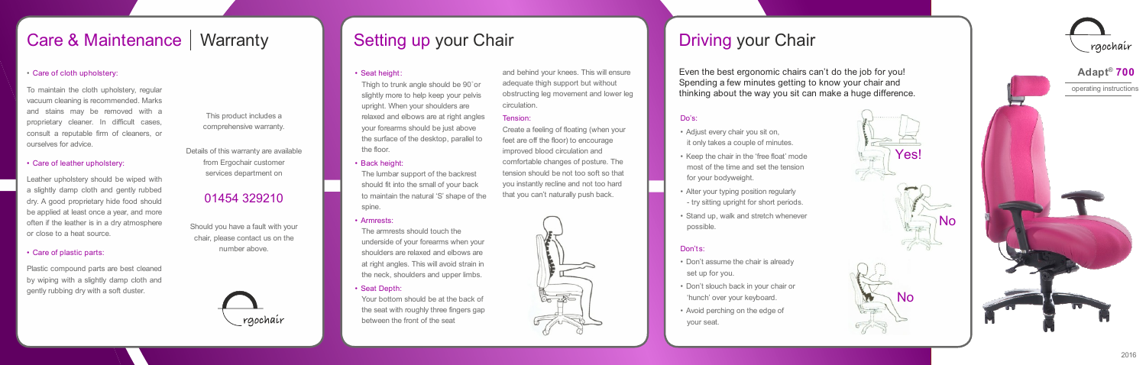# Care & Maintenance Warranty **Setting up your Chair Care & Maintenance Warranty Chair Setting up your Chair Driving your Chair**

### • Care of cloth upholstery:

To maintain the cloth upholstery, regular vacuum cleaning is recommended. Marks and stains may be removed with a proprietary cleaner. In difficult cases, consult a reputable firm of cleaners, or ourselves for advice.

#### • Care of leather upholstery:

Leather upholstery should be wiped with a slightly damp cloth and gently rubbed dry. A good proprietary hide food should be applied at least once a year, and more often if the leather is in a dry atmosphere or close to a heat source.

Thigh to trunk angle should be 90° or slightly more to help keep your pelvis upright. When your shoulders are relaxed and elbows are at right angles your forearms should be just above the surface of the desktop, parallel to the floor.

### • Care of plastic parts:

Plastic compound parts are best cleaned by wiping with a slightly damp cloth and gently rubbing dry with a soft duster.

#### • Seat height:

#### • Back height:

The lumbar support of the backrest should fit into the small of your back to maintain the natural 'S' shape of the spine.

- Adjust every chair you sit on. it only takes a couple of minutes.
- Keep the chair in the 'free float' mode most of the time and set the tension for your bodyweight.
- Alter your typing position regularly
- try sitting upright for short periods.
- Stand up, walk and stretch whenever possible.

#### • Armrests:

The armrests should touch the underside of your forearms when your shoulders are relaxed and elbows are at right angles. This will avoid strain in the neck, shoulders and upper limbs.

#### • Seat Depth:

Your bottom should be at the back of the seat with roughly three fingers gap between the front of the seat

and behind your knees. This will ensure adequate thigh support but without obstructing leg movement and lower leg circulation.

#### Tension:

Create a feeling of floating (when your feet are off the floor) to encourage improved blood circulation and comfortable changes of posture. The tension should be not too soft so that you instantly recline and not too hard that you can't naturally push back.



#### Do's:

#### Don'ts:

- Don't assume the chair is already set up for you.
- Don't slouch back in your chair or 'hunch' over your keyboard.
- Avoid perching on the edge of your seat.

Even the best ergonomic chairs can't do the job for you! Spending a few minutes getting to know your chair and thinking about the way you sit can make a huge difference.

This product includes a comprehensive warranty.

Details of this warranty are available from Ergochair customer services department on

# 01454 329210

Should you have a fault with your chair, please contact us on the number above.





operating instructions





No